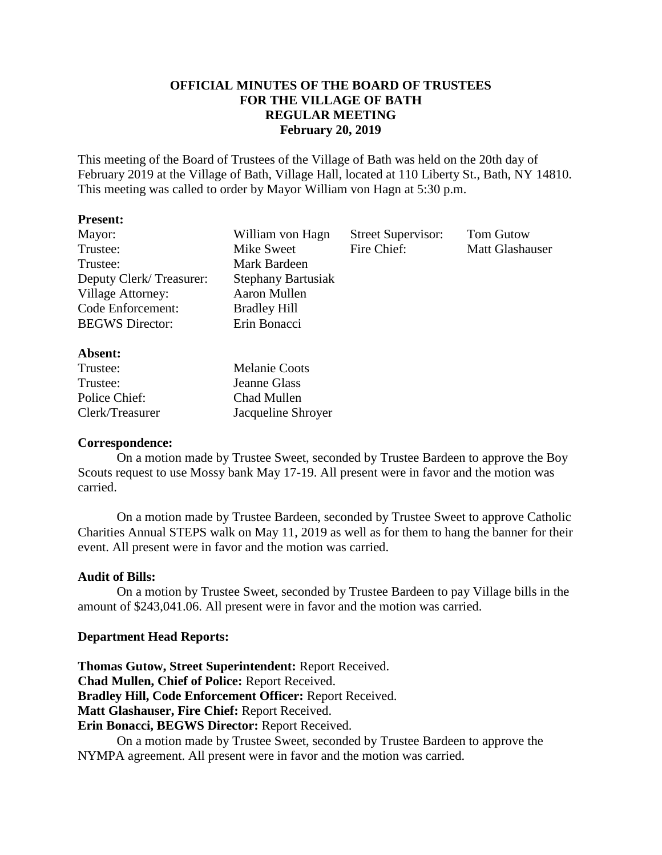# **OFFICIAL MINUTES OF THE BOARD OF TRUSTEES FOR THE VILLAGE OF BATH REGULAR MEETING February 20, 2019**

This meeting of the Board of Trustees of the Village of Bath was held on the 20th day of February 2019 at the Village of Bath, Village Hall, located at 110 Liberty St., Bath, NY 14810. This meeting was called to order by Mayor William von Hagn at 5:30 p.m.

#### **Present:**

**Absent:** 

| Mayor:                  | William von Hagn          | <b>Street Supervisor:</b> | <b>Tom Gutow</b>       |  |
|-------------------------|---------------------------|---------------------------|------------------------|--|
| Trustee:                | Mike Sweet                | Fire Chief:               | <b>Matt Glashauser</b> |  |
| Trustee:                | Mark Bardeen              |                           |                        |  |
| Deputy Clerk/Treasurer: | <b>Stephany Bartusiak</b> |                           |                        |  |
| Village Attorney:       | Aaron Mullen              |                           |                        |  |
| Code Enforcement:       | <b>Bradley Hill</b>       |                           |                        |  |
| <b>BEGWS</b> Director:  | Erin Bonacci              |                           |                        |  |
|                         |                           |                           |                        |  |

| Trustee:        | <b>Melanie Coots</b> |  |  |
|-----------------|----------------------|--|--|
| Trustee:        | Jeanne Glass         |  |  |
| Police Chief:   | Chad Mullen          |  |  |
| Clerk/Treasurer | Jacqueline Shroyer   |  |  |

## **Correspondence:**

On a motion made by Trustee Sweet, seconded by Trustee Bardeen to approve the Boy Scouts request to use Mossy bank May 17-19. All present were in favor and the motion was carried.

On a motion made by Trustee Bardeen, seconded by Trustee Sweet to approve Catholic Charities Annual STEPS walk on May 11, 2019 as well as for them to hang the banner for their event. All present were in favor and the motion was carried.

## **Audit of Bills:**

On a motion by Trustee Sweet, seconded by Trustee Bardeen to pay Village bills in the amount of \$243,041.06. All present were in favor and the motion was carried.

## **Department Head Reports:**

**Thomas Gutow, Street Superintendent:** Report Received. **Chad Mullen, Chief of Police:** Report Received. **Bradley Hill, Code Enforcement Officer:** Report Received. **Matt Glashauser, Fire Chief:** Report Received. **Erin Bonacci, BEGWS Director:** Report Received. On a motion made by Trustee Sweet, seconded by Trustee Bardeen to approve the

NYMPA agreement. All present were in favor and the motion was carried.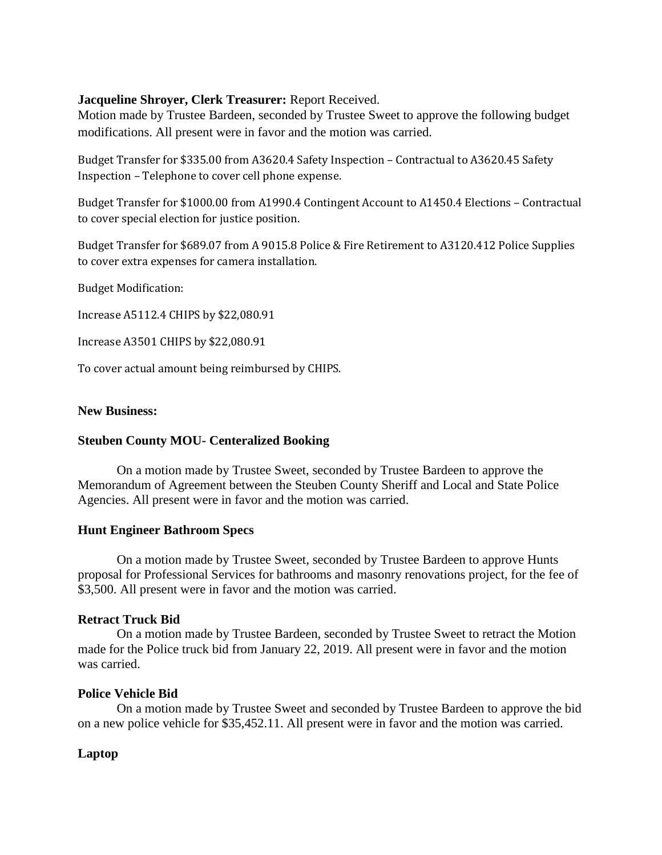# **Jacqueline Shroyer, Clerk Treasurer:** Report Received.

Motion made by Trustee Bardeen, seconded by Trustee Sweet to approve the following budget modifications. All present were in favor and the motion was carried.

Budget Transfer for \$335.00 from A3620.4 Safety Inspection – Contractual to A3620.45 Safety Inspection – Telephone to cover cell phone expense.

Budget Transfer for \$1000.00 from A1990.4 Contingent Account to A1450.4 Elections – Contractual to cover special election for justice position.

Budget Transfer for \$689.07 from A 9015.8 Police & Fire Retirement to A3120.412 Police Supplies to cover extra expenses for camera installation.

Budget Modification:

Increase A5112.4 CHIPS by \$22,080.91

Increase A3501 CHIPS by \$22,080.91

To cover actual amount being reimbursed by CHIPS.

## **New Business:**

## **Steuben County MOU- Centeralized Booking**

On a motion made by Trustee Sweet, seconded by Trustee Bardeen to approve the Memorandum of Agreement between the Steuben County Sheriff and Local and State Police Agencies. All present were in favor and the motion was carried.

## **Hunt Engineer Bathroom Specs**

On a motion made by Trustee Sweet, seconded by Trustee Bardeen to approve Hunts proposal for Professional Services for bathrooms and masonry renovations project, for the fee of \$3,500. All present were in favor and the motion was carried.

## **Retract Truck Bid**

On a motion made by Trustee Bardeen, seconded by Trustee Sweet to retract the Motion made for the Police truck bid from January 22, 2019. All present were in favor and the motion was carried.

## **Police Vehicle Bid**

On a motion made by Trustee Sweet and seconded by Trustee Bardeen to approve the bid on a new police vehicle for \$35,452.11. All present were in favor and the motion was carried.

## **Laptop**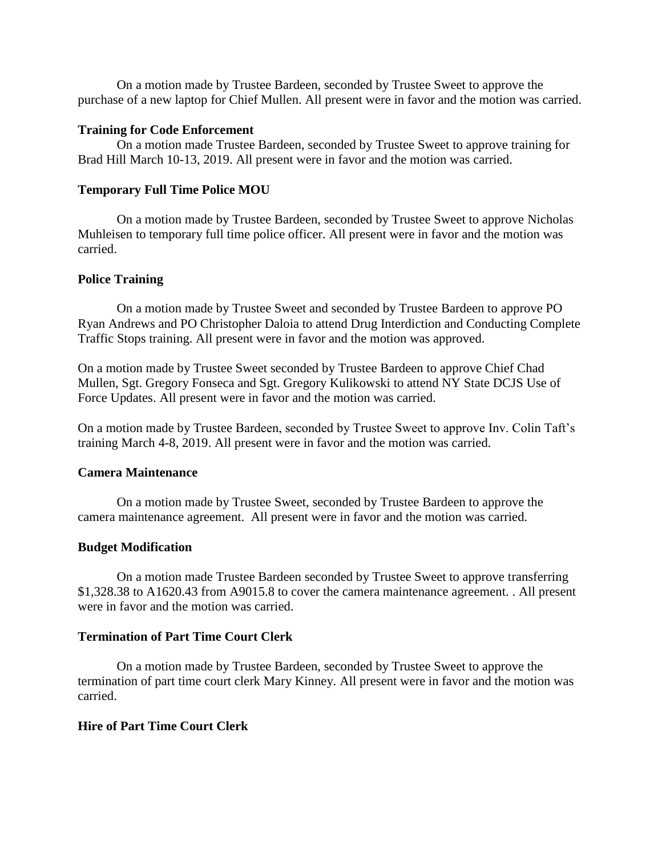On a motion made by Trustee Bardeen, seconded by Trustee Sweet to approve the purchase of a new laptop for Chief Mullen. All present were in favor and the motion was carried.

#### **Training for Code Enforcement**

On a motion made Trustee Bardeen, seconded by Trustee Sweet to approve training for Brad Hill March 10-13, 2019. All present were in favor and the motion was carried.

## **Temporary Full Time Police MOU**

On a motion made by Trustee Bardeen, seconded by Trustee Sweet to approve Nicholas Muhleisen to temporary full time police officer. All present were in favor and the motion was carried.

# **Police Training**

On a motion made by Trustee Sweet and seconded by Trustee Bardeen to approve PO Ryan Andrews and PO Christopher Daloia to attend Drug Interdiction and Conducting Complete Traffic Stops training. All present were in favor and the motion was approved.

On a motion made by Trustee Sweet seconded by Trustee Bardeen to approve Chief Chad Mullen, Sgt. Gregory Fonseca and Sgt. Gregory Kulikowski to attend NY State DCJS Use of Force Updates. All present were in favor and the motion was carried.

On a motion made by Trustee Bardeen, seconded by Trustee Sweet to approve Inv. Colin Taft's training March 4-8, 2019. All present were in favor and the motion was carried.

## **Camera Maintenance**

On a motion made by Trustee Sweet, seconded by Trustee Bardeen to approve the camera maintenance agreement. All present were in favor and the motion was carried.

## **Budget Modification**

On a motion made Trustee Bardeen seconded by Trustee Sweet to approve transferring \$1,328.38 to A1620.43 from A9015.8 to cover the camera maintenance agreement. . All present were in favor and the motion was carried.

## **Termination of Part Time Court Clerk**

On a motion made by Trustee Bardeen, seconded by Trustee Sweet to approve the termination of part time court clerk Mary Kinney. All present were in favor and the motion was carried.

## **Hire of Part Time Court Clerk**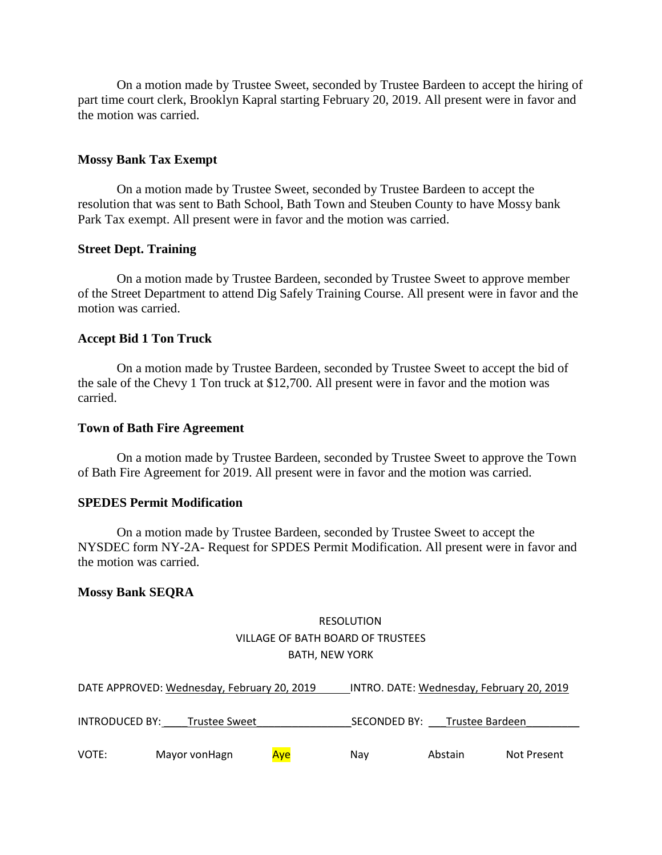On a motion made by Trustee Sweet, seconded by Trustee Bardeen to accept the hiring of part time court clerk, Brooklyn Kapral starting February 20, 2019. All present were in favor and the motion was carried.

#### **Mossy Bank Tax Exempt**

On a motion made by Trustee Sweet, seconded by Trustee Bardeen to accept the resolution that was sent to Bath School, Bath Town and Steuben County to have Mossy bank Park Tax exempt. All present were in favor and the motion was carried.

#### **Street Dept. Training**

On a motion made by Trustee Bardeen, seconded by Trustee Sweet to approve member of the Street Department to attend Dig Safely Training Course. All present were in favor and the motion was carried.

#### **Accept Bid 1 Ton Truck**

On a motion made by Trustee Bardeen, seconded by Trustee Sweet to accept the bid of the sale of the Chevy 1 Ton truck at \$12,700. All present were in favor and the motion was carried.

#### **Town of Bath Fire Agreement**

On a motion made by Trustee Bardeen, seconded by Trustee Sweet to approve the Town of Bath Fire Agreement for 2019. All present were in favor and the motion was carried.

#### **SPEDES Permit Modification**

On a motion made by Trustee Bardeen, seconded by Trustee Sweet to accept the NYSDEC form NY-2A- Request for SPDES Permit Modification. All present were in favor and the motion was carried.

## **Mossy Bank SEQRA**

# RESOLUTION VILLAGE OF BATH BOARD OF TRUSTEES BATH, NEW YORK

| DATE APPROVED: Wednesday, February 20, 2019 |                |     | INTRO. DATE: Wednesday, February 20, 2019 |                 |             |
|---------------------------------------------|----------------|-----|-------------------------------------------|-----------------|-------------|
| <b>INTRODUCED BY:</b>                       | Trustee Sweet  |     | SECONDED BY:                              | Trustee Bardeen |             |
| VOTE:                                       | Mayor von Hagn | Aye | Nav                                       | Abstain         | Not Present |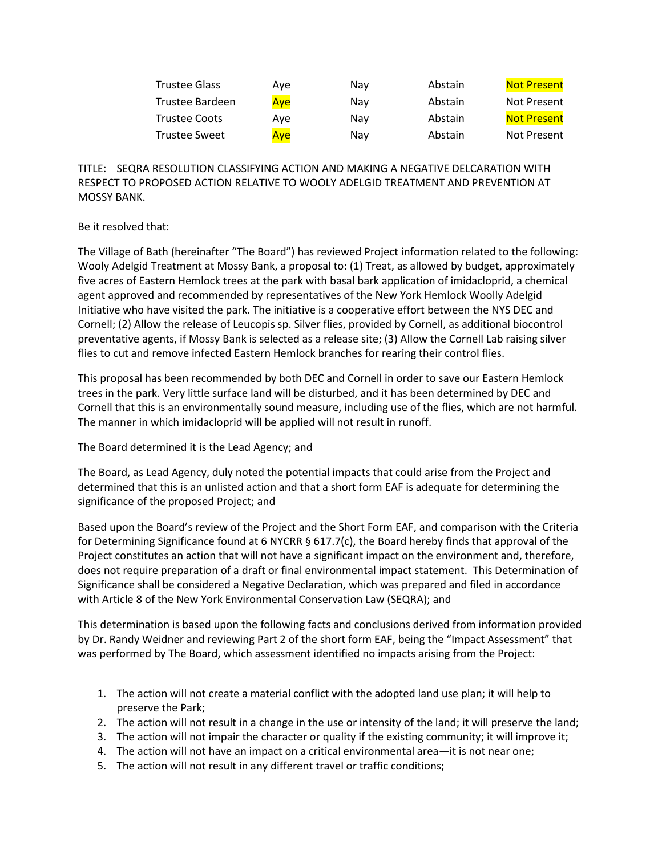| <b>Trustee Glass</b> | Ave | Nav | Abstain | <b>Not Present</b> |
|----------------------|-----|-----|---------|--------------------|
| Trustee Bardeen      | Aye | Nav | Abstain | Not Present        |
| <b>Trustee Coots</b> | Ave | Nay | Abstain | <b>Not Present</b> |
| <b>Trustee Sweet</b> | Aye | Nav | Abstain | Not Present        |

TITLE: SEQRA RESOLUTION CLASSIFYING ACTION AND MAKING A NEGATIVE DELCARATION WITH RESPECT TO PROPOSED ACTION RELATIVE TO WOOLY ADELGID TREATMENT AND PREVENTION AT MOSSY BANK.

Be it resolved that:

The Village of Bath (hereinafter "The Board") has reviewed Project information related to the following: Wooly Adelgid Treatment at Mossy Bank, a proposal to: (1) Treat, as allowed by budget, approximately five acres of Eastern Hemlock trees at the park with basal bark application of imidacloprid, a chemical agent approved and recommended by representatives of the New York Hemlock Woolly Adelgid Initiative who have visited the park. The initiative is a cooperative effort between the NYS DEC and Cornell; (2) Allow the release of Leucopis sp. Silver flies, provided by Cornell, as additional biocontrol preventative agents, if Mossy Bank is selected as a release site; (3) Allow the Cornell Lab raising silver flies to cut and remove infected Eastern Hemlock branches for rearing their control flies.

This proposal has been recommended by both DEC and Cornell in order to save our Eastern Hemlock trees in the park. Very little surface land will be disturbed, and it has been determined by DEC and Cornell that this is an environmentally sound measure, including use of the flies, which are not harmful. The manner in which imidacloprid will be applied will not result in runoff.

The Board determined it is the Lead Agency; and

The Board, as Lead Agency, duly noted the potential impacts that could arise from the Project and determined that this is an unlisted action and that a short form EAF is adequate for determining the significance of the proposed Project; and

Based upon the Board's review of the Project and the Short Form EAF, and comparison with the Criteria for Determining Significance found at 6 NYCRR § 617.7(c), the Board hereby finds that approval of the Project constitutes an action that will not have a significant impact on the environment and, therefore, does not require preparation of a draft or final environmental impact statement. This Determination of Significance shall be considered a Negative Declaration, which was prepared and filed in accordance with Article 8 of the New York Environmental Conservation Law (SEQRA); and

This determination is based upon the following facts and conclusions derived from information provided by Dr. Randy Weidner and reviewing Part 2 of the short form EAF, being the "Impact Assessment" that was performed by The Board, which assessment identified no impacts arising from the Project:

- 1. The action will not create a material conflict with the adopted land use plan; it will help to preserve the Park;
- 2. The action will not result in a change in the use or intensity of the land; it will preserve the land;
- 3. The action will not impair the character or quality if the existing community; it will improve it;
- 4. The action will not have an impact on a critical environmental area—it is not near one;
- 5. The action will not result in any different travel or traffic conditions;